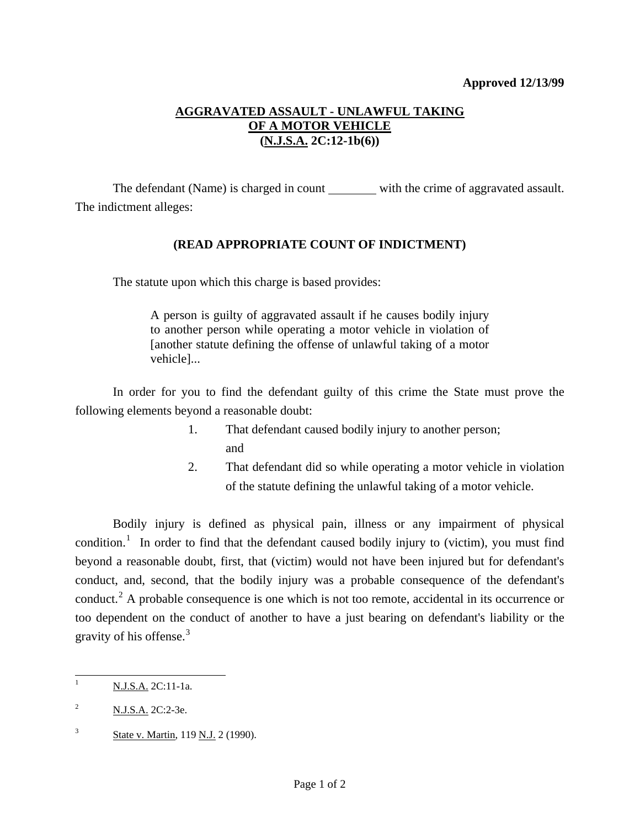## **Approved 12/13/99**

## **AGGRAVATED ASSAULT - UNLAWFUL TAKING OF A MOTOR VEHICLE (N.J.S.A. 2C:12-1b(6))**

The defendant (Name) is charged in count with the crime of aggravated assault. The indictment alleges:

## **(READ APPROPRIATE COUNT OF INDICTMENT)**

The statute upon which this charge is based provides:

A person is guilty of aggravated assault if he causes bodily injury to another person while operating a motor vehicle in violation of [another statute defining the offense of unlawful taking of a motor vehicle]...

 In order for you to find the defendant guilty of this crime the State must prove the following elements beyond a reasonable doubt:

- 1. That defendant caused bodily injury to another person; and and state and state and state and state and state and state and state and state and state and state and state and state and state and state and state and state and state and state and state and state and state and stat
	- 2. That defendant did so while operating a motor vehicle in violation of the statute defining the unlawful taking of a motor vehicle.

 Bodily injury is defined as physical pain, illness or any impairment of physical condition.<sup>[1](#page-0-0)</sup> In order to find that the defendant caused bodily injury to (victim), you must find beyond a reasonable doubt, first, that (victim) would not have been injured but for defendant's conduct, and, second, that the bodily injury was a probable consequence of the defendant's conduct.<sup>[2](#page-0-1)</sup> A probable consequence is one which is not too remote, accidental in its occurrence or too dependent on the conduct of another to have a just bearing on defendant's liability or the gravity of his offense.[3](#page-0-2)

 $\overline{a}$ 

<span id="page-0-0"></span><sup>1</sup> N.J.S.A. 2C:11-1a.

<span id="page-0-1"></span><sup>2</sup> N.J.S.A. 2C:2-3e.

<span id="page-0-3"></span><span id="page-0-2"></span><sup>3</sup> State v. Martin, 119 N.J. 2 (1990).